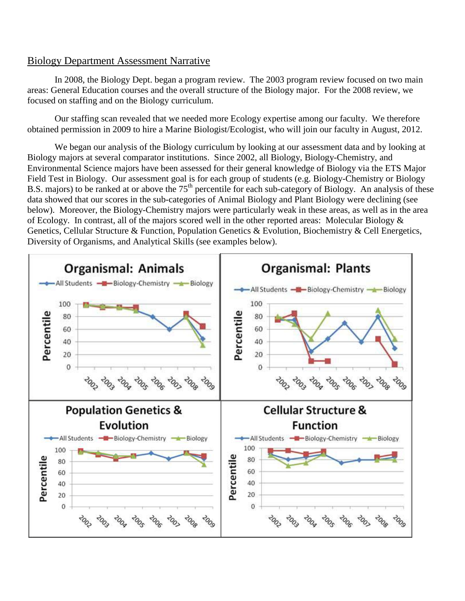## Biology Department Assessment Narrative

In 2008, the Biology Dept. began a program review. The 2003 program review focused on two main areas: General Education courses and the overall structure of the Biology major. For the 2008 review, we focused on staffing and on the Biology curriculum.

Our staffing scan revealed that we needed more Ecology expertise among our faculty. We therefore obtained permission in 2009 to hire a Marine Biologist/Ecologist, who will join our faculty in August, 2012.

We began our analysis of the Biology curriculum by looking at our assessment data and by looking at Biology majors at several comparator institutions. Since 2002, all Biology, Biology-Chemistry, and Environmental Science majors have been assessed for their general knowledge of Biology via the ETS Major Field Test in Biology. Our assessment goal is for each group of students (e.g. Biology-Chemistry or Biology B.S. majors) to be ranked at or above the  $75<sup>th</sup>$  percentile for each sub-category of Biology. An analysis of these data showed that our scores in the sub-categories of Animal Biology and Plant Biology were declining (see below). Moreover, the Biology-Chemistry majors were particularly weak in these areas, as well as in the area of Ecology. In contrast, all of the majors scored well in the other reported areas: Molecular Biology & Genetics, Cellular Structure & Function, Population Genetics & Evolution, Biochemistry & Cell Energetics, Diversity of Organisms, and Analytical Skills (see examples below).